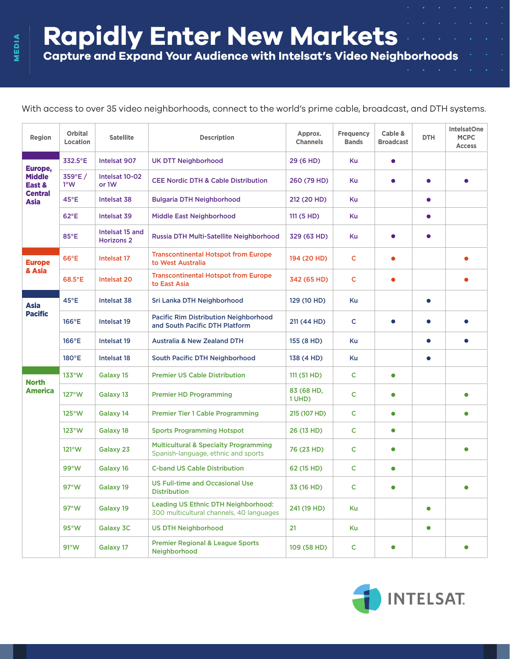**Rapidly Enter New Markets**

**Capture and Expand Your Audience with Intelsat's Video Neighborhoods** 

With access to over 35 video neighborhoods, connect to the world's prime cable, broadcast, and DTH systems.

| Region                                                       | <b>Orbital</b><br>Location | <b>Satellite</b>                     | <b>Description</b>                                                                      | Approx.<br><b>Channels</b> | <b>Frequency</b><br><b>Bands</b> | Cable &<br><b>Broadcast</b> | <b>DTH</b> | <b>IntelsatOne</b><br><b>MCPC</b><br><b>Access</b> |
|--------------------------------------------------------------|----------------------------|--------------------------------------|-----------------------------------------------------------------------------------------|----------------------------|----------------------------------|-----------------------------|------------|----------------------------------------------------|
| Europe,<br><b>Middle</b><br>East &<br><b>Central</b><br>Asia | 332.5°E                    | Intelsat 907                         | <b>UK DTT Neighborhood</b>                                                              | 29 (6 HD)                  | Ku                               | $\bullet$                   |            |                                                    |
|                                                              | 359°E/<br>1°W              | Intelsat 10-02<br>or 1W              | <b>CEE Nordic DTH &amp; Cable Distribution</b>                                          | 260 (79 HD)                | Ku                               | $\bullet$                   | $\bullet$  |                                                    |
|                                                              | 45°E                       | Intelsat 38                          | <b>Bulgaria DTH Neighborhood</b>                                                        | 212 (20 HD)                | Ku                               |                             | $\bullet$  |                                                    |
|                                                              | $62^{\circ}E$              | Intelsat 39                          | <b>Middle East Neighborhood</b>                                                         | 111 (5 HD)                 | Ku                               |                             | $\bullet$  |                                                    |
|                                                              | 85°E                       | Intelsat 15 and<br><b>Horizons 2</b> | Russia DTH Multi-Satellite Neighborhood                                                 | 329 (63 HD)                | Ku                               | $\bullet$                   | $\bullet$  |                                                    |
| <b>Europe</b><br>& Asia                                      | $66^{\circ}E$              | Intelsat 17                          | <b>Transcontinental Hotspot from Europe</b><br>to West Australia                        | 194 (20 HD)                | C                                | $\bullet$                   |            |                                                    |
|                                                              | $68.5^{\circ}E$            | Intelsat 20                          | <b>Transcontinental Hotspot from Europe</b><br>to East Asia                             | 342 (65 HD)                | C                                | $\bullet$                   |            |                                                    |
| <b>Asia</b><br><b>Pacific</b>                                | $45^{\circ}E$              | Intelsat 38                          | Sri Lanka DTH Neighborhood                                                              | 129 (10 HD)                | Ku                               |                             | $\bullet$  |                                                    |
|                                                              | 166°E                      | Intelsat 19                          | <b>Pacific Rim Distribution Neighborhood</b><br>and South Pacific DTH Platform          | 211 (44 HD)                | C                                | $\bullet$                   | $\bullet$  |                                                    |
|                                                              | $166^{\circ}E$             | Intelsat 19                          | <b>Australia &amp; New Zealand DTH</b>                                                  | 155 (8 HD)                 | Ku                               |                             | $\bullet$  |                                                    |
|                                                              | $180^{\circ}E$             | Intelsat 18                          | South Pacific DTH Neighborhood                                                          | 138 (4 HD)                 | Ku                               |                             | $\bullet$  |                                                    |
| <b>North</b><br><b>America</b>                               | $133^{\circ}$ W            | Galaxy 15                            | <b>Premier US Cable Distribution</b>                                                    | 111 (51 HD)                | C                                | $\bullet$                   |            |                                                    |
|                                                              | $127^{\circ}$ W            | Galaxy 13                            | <b>Premier HD Programming</b>                                                           | 83 (68 HD,<br>1 UHD)       | c                                | $\bullet$                   |            |                                                    |
|                                                              | $125^{\circ}$ W            | Galaxy 14                            | <b>Premier Tier 1 Cable Programming</b>                                                 | 215 (107 HD)               | C                                | $\bullet$                   |            | $\bullet$                                          |
|                                                              | $123^{\circ}$ W            | Galaxy 18                            | <b>Sports Programming Hotspot</b>                                                       | 26 (13 HD)                 | C                                | $\bullet$                   |            |                                                    |
|                                                              | $121^{\circ}W$             | Galaxy 23                            | <b>Multicultural &amp; Specialty Programming</b><br>Spanish-language, ethnic and sports | 76 (23 HD)                 | C                                | $\bullet$                   |            |                                                    |
|                                                              | 99°W                       | Galaxy 16                            | <b>C-band US Cable Distribution</b>                                                     | 62 (15 HD)                 | C                                | $\bullet$                   |            |                                                    |
|                                                              | $97^{\circ}$ W             | Galaxy 19                            | <b>US Full-time and Occasional Use</b><br><b>Distribution</b>                           | 33 (16 HD)                 | c                                | $\bullet$                   |            |                                                    |
|                                                              | $97^{\circ}$ W             | Galaxy 19                            | Leading US Ethnic DTH Neighborhood:<br>300 multicultural channels, 40 languages         | 241 (19 HD)                | Ku                               |                             | $\bullet$  |                                                    |
|                                                              | 95°W                       | Galaxy 3C                            | <b>US DTH Neighborhood</b>                                                              | 21                         | Ku                               |                             | $\bullet$  |                                                    |
|                                                              | $91^{\circ}$ W             | Galaxy 17                            | <b>Premier Regional &amp; League Sports</b><br>Neighborhood                             | 109 (58 HD)                | $\mathsf{C}$                     | $\bullet$                   |            | $\bullet$                                          |